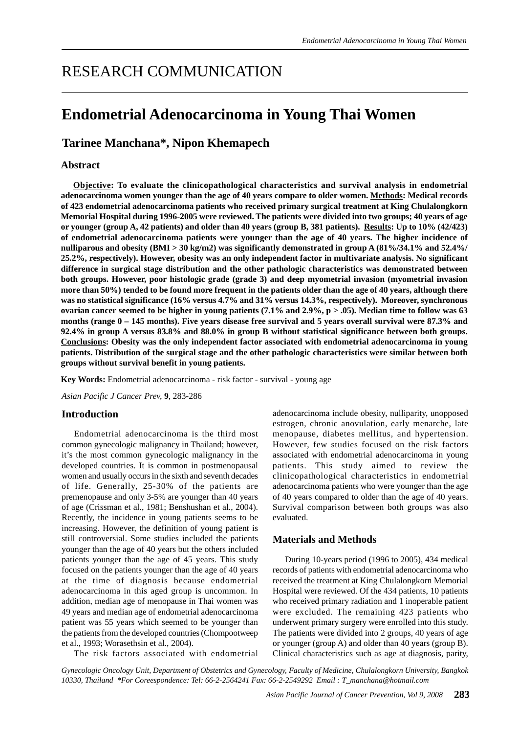# RESEARCH COMMUNICATION

## **Endometrial Adenocarcinoma in Young Thai Women**

## **Tarinee Manchana\*, Nipon Khemapech**

## **Abstract**

**Objective: To evaluate the clinicopathological characteristics and survival analysis in endometrial adenocarcinoma women younger than the age of 40 years compare to older women. Methods: Medical records of 423 endometrial adenocarcinoma patients who received primary surgical treatment at King Chulalongkorn Memorial Hospital during 1996-2005 were reviewed. The patients were divided into two groups; 40 years of age or younger (group A, 42 patients) and older than 40 years (group B, 381 patients). Results: Up to 10% (42/423) of endometrial adenocarcinoma patients were younger than the age of 40 years. The higher incidence of nulliparous and obesity (BMI > 30 kg/m2) was significantly demonstrated in group A (81%/34.1% and 52.4%/ 25.2%, respectively). However, obesity was an only independent factor in multivariate analysis. No significant difference in surgical stage distribution and the other pathologic characteristics was demonstrated between both groups. However, poor histologic grade (grade 3) and deep myometrial invasion (myometrial invasion more than 50%) tended to be found more frequent in the patients older than the age of 40 years, although there was no statistical significance (16% versus 4.7% and 31% versus 14.3%, respectively). Moreover, synchronous ovarian cancer seemed to be higher in young patients (7.1% and 2.9%, p > .05). Median time to follow was 63 months (range 0 – 145 months). Five years disease free survival and 5 years overall survival were 87.3% and 92.4% in group A versus 83.8% and 88.0% in group B without statistical significance between both groups. Conclusions: Obesity was the only independent factor associated with endometrial adenocarcinoma in young patients. Distribution of the surgical stage and the other pathologic characteristics were similar between both groups without survival benefit in young patients.**

**Key Words:** Endometrial adenocarcinoma - risk factor - survival - young age

*Asian Pacific J Cancer Prev,* **9**, 283-286

## **Introduction**

Endometrial adenocarcinoma is the third most common gynecologic malignancy in Thailand; however, it's the most common gynecologic malignancy in the developed countries. It is common in postmenopausal women and usually occurs in the sixth and seventh decades of life. Generally, 25-30% of the patients are premenopause and only 3-5% are younger than 40 years of age (Crissman et al., 1981; Benshushan et al., 2004). Recently, the incidence in young patients seems to be increasing. However, the definition of young patient is still controversial. Some studies included the patients younger than the age of 40 years but the others included patients younger than the age of 45 years. This study focused on the patients younger than the age of 40 years at the time of diagnosis because endometrial adenocarcinoma in this aged group is uncommon. In addition, median age of menopause in Thai women was 49 years and median age of endometrial adenocarcinoma patient was 55 years which seemed to be younger than the patients from the developed countries (Chompootweep et al., 1993; Worasethsin et al., 2004).

The risk factors associated with endometrial

adenocarcinoma include obesity, nulliparity, unopposed estrogen, chronic anovulation, early menarche, late menopause, diabetes mellitus, and hypertension. However, few studies focused on the risk factors associated with endometrial adenocarcinoma in young patients. This study aimed to review the clinicopathological characteristics in endometrial adenocarcinoma patients who were younger than the age of 40 years compared to older than the age of 40 years. Survival comparison between both groups was also evaluated.

## **Materials and Methods**

During 10-years period (1996 to 2005), 434 medical records of patients with endometrial adenocarcinoma who received the treatment at King Chulalongkorn Memorial Hospital were reviewed. Of the 434 patients, 10 patients who received primary radiation and 1 inoperable patient were excluded. The remaining 423 patients who underwent primary surgery were enrolled into this study. The patients were divided into 2 groups, 40 years of age or younger (group A) and older than 40 years (group B). Clinical characteristics such as age at diagnosis, parity,

*Gynecologic Oncology Unit, Department of Obstetrics and Gynecology, Faculty of Medicine, Chulalongkorn University, Bangkok 10330, Thailand \*For Coreespondence: Tel: 66-2-2564241 Fax: 66-2-2549292 Email : T\_manchana@hotmail.com*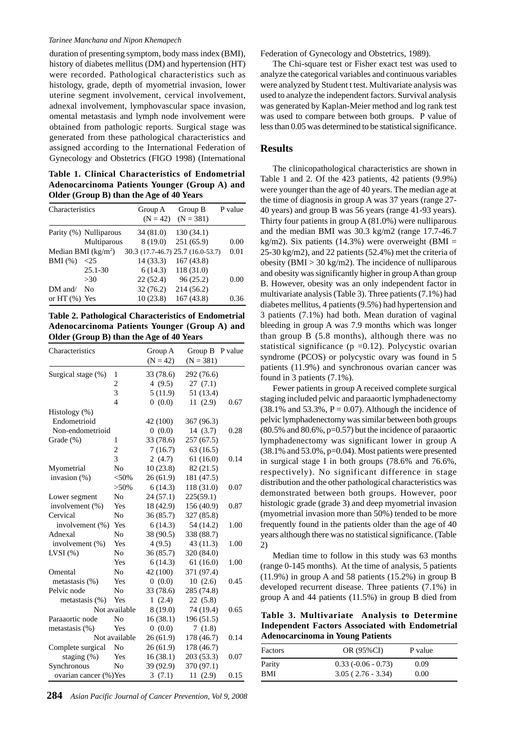#### *Tarinee Manchana and Nipon Khemapech*

duration of presenting symptom, body mass index (BMI), history of diabetes mellitus (DM) and hypertension (HT) were recorded. Pathological characteristics such as histology, grade, depth of myometrial invasion, lower uterine segment involvement, cervical involvement, adnexal involvement, lymphovascular space invasion, omental metastasis and lymph node involvement were obtained from pathologic reports. Surgical stage was generated from these pathological characteristics and assigned according to the International Federation of Gynecology and Obstetrics (FIGO 1998) (International

**Table 1. Clinical Characteristics of Endometrial Adenocarcinoma Patients Younger (Group A) and Older (Group B) than the Age of 40 Years**

| Characteristics                   |                                       | Group A<br>$(N = 42)$                          | Group B<br>$(N = 381)$             | P value |
|-----------------------------------|---------------------------------------|------------------------------------------------|------------------------------------|---------|
|                                   | Parity (%) Nulliparous<br>Multiparous | 34(81.0)<br>8(19.0)                            | 130(34.1)<br>251(65.9)             | 0.00    |
| Median BMI $(kg/m2)$<br>$BMI(\%)$ | $\leq$ 25                             | 30.3 (17.7-46.7) 25.7 (16.0-53.7)<br>14 (33.3) | 167(43.8)                          | 0.01    |
| $DM$ and/                         | $25.1 - 30$<br>>30<br>Nο              | 6(14.3)<br>22(52.4)<br>32(76.2)                | 118(31.0)<br>96(25.2)<br>214(56.2) | 0.00    |
| or HT $(\%)$ Yes                  |                                       | 10(23.8)                                       | 167(43.8)                          | 0.36    |

**Table 2. Pathological Characteristics of Endometrial Adenocarcinoma Patients Younger (Group A) and Older (Group B) than the Age of 40 Years**

| Characteristics        |                | Group A<br>$(N = 42)$ | Group B<br>$(N = 381)$ | P value |
|------------------------|----------------|-----------------------|------------------------|---------|
| Surgical stage (%)     | 1              | 33 (78.6)             | 292 (76.6)             |         |
|                        | $\overline{2}$ | 4 $(9.5)$             | 27(7.1)                |         |
|                        | 3              | 5(11.9)               | 51 (13.4)              |         |
|                        | $\overline{4}$ | 0(0.0)                | 11(2.9)                | 0.67    |
| Histology (%)          |                |                       |                        |         |
| Endometrioid           |                | 42 (100)              | 367 (96.3)             |         |
| Non-endometrioid       |                | 0(0.0)                | 14(3.7)                | 0.28    |
| Grade (%)              | 1              | 33 (78.6)             | 257 (67.5)             |         |
|                        | $\overline{c}$ | 7(16.7)               | 63(16.5)               |         |
|                        | 3              | 2(4.7)                | 61(16.0)               | 0.14    |
| Myometrial             | N <sub>o</sub> | 10(23.8)              | 82 (21.5)              |         |
| invasion (%)           | < 50%          | 26(61.9)              | 181 (47.5)             |         |
|                        | $>50\%$        | 6(14.3)               | 118 (31.0)             | 0.07    |
| Lower segment          | N <sub>0</sub> | 24(57.1)              | 225(59.1)              |         |
| involvement (%)        | Yes            | 18 (42.9)             | 156 (40.9)             | 0.87    |
| Cervical               | No             | 36(85.7)              | 327 (85.8)             |         |
| involvement $(\%)$     | Yes            | 6(14.3)               | 54 (14.2)              | 1.00    |
| Adnexal                | N <sub>o</sub> | 38 (90.5)             | 338 (88.7)             |         |
| involvement (%)        | Yes            | 4(9.5)                | 43 (11.3)              | 1.00    |
| $LVSI$ $(\% )$         | N <sub>o</sub> | 36(85.7)              | 320 (84.0)             |         |
|                        | Yes            | 6(14.3)               | 61(16.0)               | 1.00    |
| Omental                | No             | 42 (100)              | 371 (97.4)             |         |
| metastasis (%)         | Yes            | 0(0.0)                | 10(2.6)                | 0.45    |
| Pelvic node            | No             | 33 (78.6)             | 285 (74.8)             |         |
| metastasis $(\%)$      | Yes            | 1(2.4)                | 22(5.8)                |         |
|                        | Not available  | 8 (19.0)              | 74 (19.4)              | 0.65    |
| Paraaortic node        | No             | 16(38.1)              | 196 (51.5)             |         |
| metastasis (%)         | Yes            | 0(0.0)                | 7(1.8)                 |         |
|                        | Not available  | 26(61.9)              | 178 (46.7)             | 0.14    |
| Complete surgical      | No             | 26(61.9)              | 178 (46.7)             |         |
| staging (%)            | Yes            | 16 (38.1)             | 203 (53.3)             | 0.07    |
| Synchronous            | No             | 39 (92.9)             | 370 (97.1)             |         |
| ovarian cancer (%) Yes |                | 3(7.1)                | 11(2.9)                | 0.15    |

Federation of Gynecology and Obstetrics, 1989).

The Chi-square test or Fisher exact test was used to analyze the categorical variables and continuous variables were analyzed by Student t test. Multivariate analysis was used to analyze the independent factors. Survival analysis was generated by Kaplan-Meier method and log rank test was used to compare between both groups. P value of less than 0.05 was determined to be statistical significance.

### **Results**

The clinicopathological characteristics are shown in Table 1 and 2. Of the 423 patients, 42 patients (9.9%) were younger than the age of 40 years. The median age at the time of diagnosis in group A was 37 years (range 27- 40 years) and group B was 56 years (range 41-93 years). Thirty four patients in group A (81.0%) were nulliparous and the median BMI was 30.3 kg/m2 (range 17.7-46.7 kg/m2). Six patients (14.3%) were overweight (BMI = 25-30 kg/m2), and 22 patients (52.4%) met the criteria of obesity (BMI  $> 30 \text{ kg/m2}$ ). The incidence of nulliparous and obesity was significantly higher in group A than group B. However, obesity was an only independent factor in multivariate analysis (Table 3). Three patients (7.1%) had diabetes mellitus, 4 patients (9.5%) had hypertension and 3 patients (7.1%) had both. Mean duration of vaginal bleeding in group A was 7.9 months which was longer than group B (5.8 months), although there was no statistical significance ( $p = 0.12$ ). Polycystic ovarian syndrome (PCOS) or polycystic ovary was found in 5 patients (11.9%) and synchronous ovarian cancer was found in 3 patients (7.1%).

Fewer patients in group A received complete surgical staging included pelvic and paraaortic lymphadenectomy  $(38.1\%$  and  $53.3\%$ ,  $P = 0.07$ ). Although the incidence of pelvic lymphadenectomy was similar between both groups  $(80.5\%$  and  $80.6\%$ ,  $p=0.57$ ) but the incidence of paraaortic lymphadenectomy was significant lower in group A (38.1% and 53.0%, p=0.04). Most patients were presented in surgical stage I in both groups (78.6% and 76.6%, respectively). No significant difference in stage distribution and the other pathological characteristics was demonstrated between both groups. However, poor histologic grade (grade 3) and deep myometrial invasion (myometrial invasion more than 50%) tended to be more frequently found in the patients older than the age of 40 years although there was no statistical significance. (Table 2)

Median time to follow in this study was 63 months (range 0-145 months). At the time of analysis, 5 patients (11.9%) in group A and 58 patients (15.2%) in group B developed recurrent disease. Three patients (7.1%) in group A and 44 patients (11.5%) in group B died from

**Table 3. Multivariate Analysis to Determine Independent Factors Associated with Endometrial Adenocarcinoma in Young Patients**

| Factors | OR (95%CI)           | P value |
|---------|----------------------|---------|
| Parity  | $0.33(-0.06 - 0.73)$ | 0.09    |
| BMI     | $3.05(2.76-3.34)$    | 0.00    |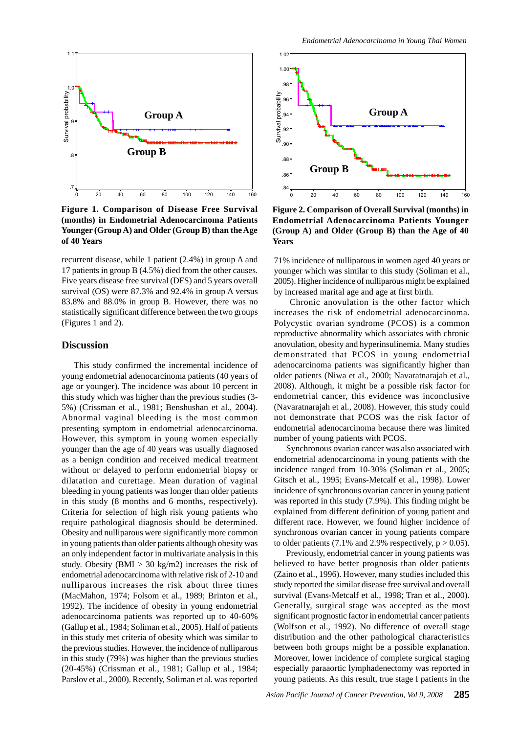

**Figure 1. Comparison of Disease Free Survival (months) in Endometrial Adenocarcinoma Patients Younger (Group A) and Older (Group B) than the Age of 40 Years**

recurrent disease, while 1 patient (2.4%) in group A and 17 patients in group B (4.5%) died from the other causes. Five years disease free survival (DFS) and 5 years overall survival (OS) were 87.3% and 92.4% in group A versus 83.8% and 88.0% in group B. However, there was no statistically significant difference between the two groups (Figures 1 and 2).

### **Discussion**

This study confirmed the incremental incidence of young endometrial adenocarcinoma patients (40 years of age or younger). The incidence was about 10 percent in this study which was higher than the previous studies (3- 5%) (Crissman et al., 1981; Benshushan et al., 2004). Abnormal vaginal bleeding is the most common presenting symptom in endometrial adenocarcinoma. However, this symptom in young women especially younger than the age of 40 years was usually diagnosed as a benign condition and received medical treatment without or delayed to perform endometrial biopsy or dilatation and curettage. Mean duration of vaginal bleeding in young patients was longer than older patients in this study (8 months and 6 months, respectively). Criteria for selection of high risk young patients who require pathological diagnosis should be determined. Obesity and nulliparous were significantly more common in young patients than older patients although obesity was an only independent factor in multivariate analysis in this study. Obesity (BMI  $> 30 \text{ kg/m2}$ ) increases the risk of endometrial adenocarcinoma with relative risk of 2-10 and nulliparous increases the risk about three times (MacMahon, 1974; Folsom et al., 1989; Brinton et al., 1992). The incidence of obesity in young endometrial adenocarcinoma patients was reported up to 40-60% (Gallup et al., 1984; Soliman et al., 2005). Half of patients in this study met criteria of obesity which was similar to the previous studies. However, the incidence of nulliparous in this study (79%) was higher than the previous studies (20-45%) (Crissman et al., 1981; Gallup et al., 1984; Parslov et al., 2000). Recently, Soliman et al. was reported



**Figure 2. Comparison of Overall Survival (months) in Endometrial Adenocarcinoma Patients Younger (Group A) and Older (Group B) than the Age of 40 Years**

71% incidence of nulliparous in women aged 40 years or younger which was similar to this study (Soliman et al., 2005). Higher incidence of nulliparous might be explained by increased marital age and age at first birth.

 Chronic anovulation is the other factor which increases the risk of endometrial adenocarcinoma. Polycystic ovarian syndrome (PCOS) is a common reproductive abnormality which associates with chronic anovulation, obesity and hyperinsulinemia. Many studies demonstrated that PCOS in young endometrial adenocarcinoma patients was significantly higher than older patients (Niwa et al., 2000; Navaratnarajah et al., 2008). Although, it might be a possible risk factor for endometrial cancer, this evidence was inconclusive (Navaratnarajah et al., 2008). However, this study could not demonstrate that PCOS was the risk factor of endometrial adenocarcinoma because there was limited number of young patients with PCOS.

Synchronous ovarian cancer was also associated with endometrial adenocarcinoma in young patients with the incidence ranged from 10-30% (Soliman et al., 2005; Gitsch et al., 1995; Evans-Metcalf et al., 1998). Lower incidence of synchronous ovarian cancer in young patient was reported in this study (7.9%). This finding might be explained from different definition of young patient and different race. However, we found higher incidence of synchronous ovarian cancer in young patients compare to older patients (7.1% and 2.9% respectively,  $p > 0.05$ ).

Previously, endometrial cancer in young patients was believed to have better prognosis than older patients (Zaino et al., 1996). However, many studies included this study reported the similar disease free survival and overall survival (Evans-Metcalf et al., 1998; Tran et al., 2000). Generally, surgical stage was accepted as the most significant prognostic factor in endometrial cancer patients (Wolfson et al., 1992). No difference of overall stage distribution and the other pathological characteristics between both groups might be a possible explanation. Moreover, lower incidence of complete surgical staging especially paraaortic lymphadenectomy was reported in young patients. As this result, true stage I patients in the